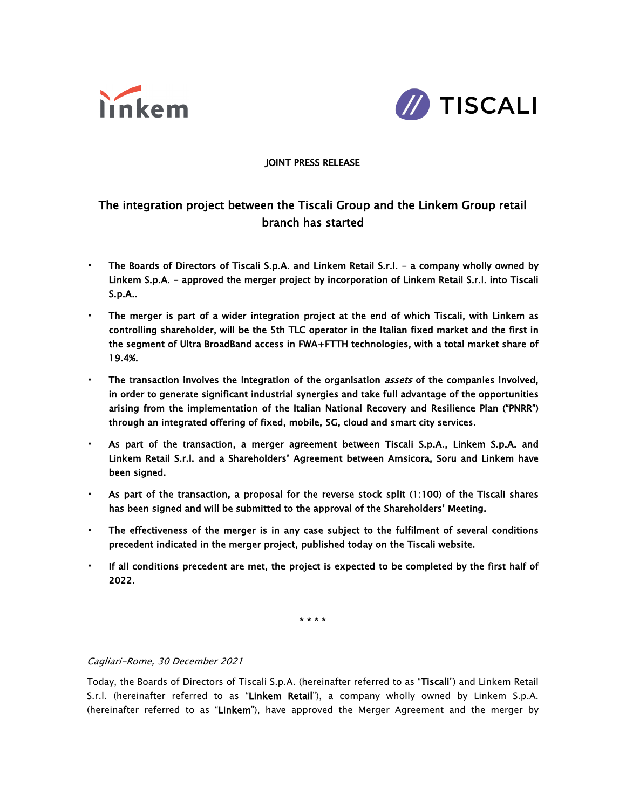



# JOINT PRESS RELEASE

# The integration project between the Tiscali Group and the Linkem Group retail branch has started

- The Boards of Directors of Tiscali S.p.A. and Linkem Retail S.r.l. a company wholly owned by Linkem S.p.A. - approved the merger project by incorporation of Linkem Retail S.r.l. into Tiscali S.p.A..
- The merger is part of a wider integration project at the end of which Tiscali, with Linkem as controlling shareholder, will be the 5th TLC operator in the Italian fixed market and the first in the segment of Ultra BroadBand access in FWA+FTTH technologies, with a total market share of 19.4%.
- **•** The transaction involves the integration of the organisation *assets* of the companies involved, in order to generate significant industrial synergies and take full advantage of the opportunities arising from the implementation of the Italian National Recovery and Resilience Plan ("PNRR") through an integrated offering of fixed, mobile, 5G, cloud and smart city services.
- As part of the transaction, a merger agreement between Tiscali S.p.A., Linkem S.p.A. and Linkem Retail S.r.l. and a Shareholders' Agreement between Amsicora, Soru and Linkem have been signed.
- As part of the transaction, a proposal for the reverse stock split (1:100) of the Tiscali shares has been signed and will be submitted to the approval of the Shareholders' Meeting.
- The effectiveness of the merger is in any case subject to the fulfilment of several conditions precedent indicated in the merger project, published today on the Tiscali website.
- If all conditions precedent are met, the project is expected to be completed by the first half of 2022.

\* \* \* \*

#### Cagliari-Rome, 30 December 2021

Today, the Boards of Directors of Tiscali S.p.A. (hereinafter referred to as "Tiscali") and Linkem Retail S.r.l. (hereinafter referred to as "Linkem Retail"), a company wholly owned by Linkem S.p.A. (hereinafter referred to as "Linkem"), have approved the Merger Agreement and the merger by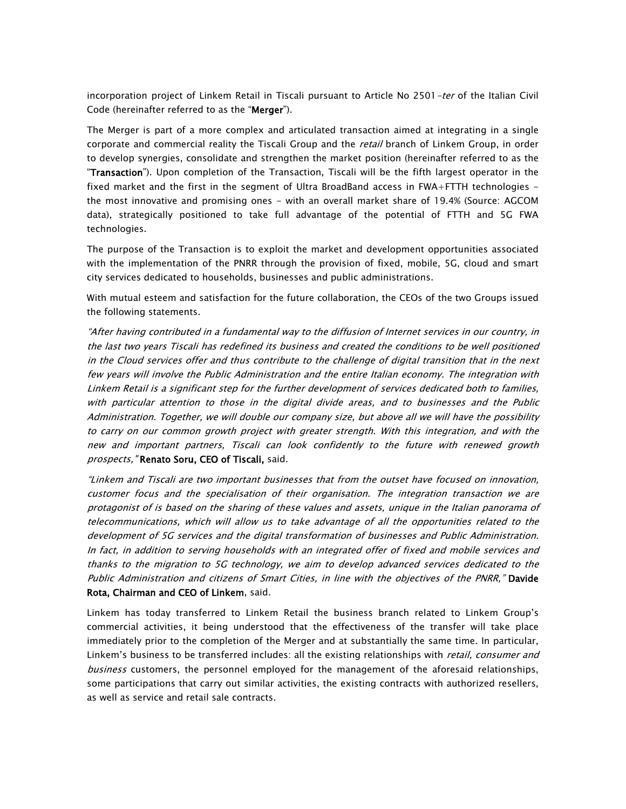incorporation project of Linkem Retail in Tiscali pursuant to Article No 2501-ter of the Italian Civil Code (hereinafter referred to as the "Merger").

The Merger is part of a more complex and articulated transaction aimed at integrating in a single corporate and commercial reality the Tiscali Group and the retail branch of Linkem Group, in order to develop synergies, consolidate and strengthen the market position (hereinafter referred to as the "Transaction"). Upon completion of the Transaction, Tiscali will be the fifth largest operator in the fixed market and the first in the segment of Ultra BroadBand access in FWA+FTTH technologies the most innovative and promising ones - with an overall market share of 19.4% (Source: AGCOM data), strategically positioned to take full advantage of the potential of FTTH and 5G FWA technologies.

The purpose of the Transaction is to exploit the market and development opportunities associated with the implementation of the PNRR through the provision of fixed, mobile, 5G, cloud and smart city services dedicated to households, businesses and public administrations.

With mutual esteem and satisfaction for the future collaboration, the CEOs of the two Groups issued the following statements.

"After having contributed in <sup>a</sup> fundamental way to the diffusion of Internet services in our country, in the last two years Tiscali has redefined its business and created the conditions to be well positioned in the Cloud services offer and thus contribute to the challenge of digital transition that in the next few years will involve the Public Administration and the entire Italian economy. The integration with Linkem Retail is <sup>a</sup> significant step for the further development of services dedicated both to families, with particular attention to those in the digital divide areas, and to businesses and the Public Administration. Together, we will double our company size, but above all we will have the possibility to carry on our common growth project with greater strength. With this integration, and with the new and important partners, Tiscali can look confidently to the future with renewed growth prospects, "Renato Soru, CEO of Tiscali, said.

"Linkem and Tiscali are two important businesses that from the outset have focused on innovation, customer focus and the specialisation of their organisation. The integration transaction we are protagonist of is based on the sharing of these values and assets, unique in the Italian panorama of telecommunications, which will allow us to take advantage of all the opportunities related to the development of 5G services and the digital transformation of businesses and Public Administration. In fact, in addition to serving households with an integrated offer of fixed and mobile services and thanks to the migration to 5G technology, we aim to develop advanced services dedicated to the Public Administration and citizens of Smart Cities, in line with the objectives of the PNRR," Davide Rota, Chairman and CEO of Linkem, said.

Linkem has today transferred to Linkem Retail the business branch related to Linkem Group's commercial activities, it being understood that the effectiveness of the transfer will take place immediately prior to the completion of the Merger and at substantially the same time. In particular, Linkem's business to be transferred includes: all the existing relationships with *retail, consumer and* business customers, the personnel employed for the management of the aforesaid relationships, some participations that carry out similar activities, the existing contracts with authorized resellers, as well as service and retail sale contracts.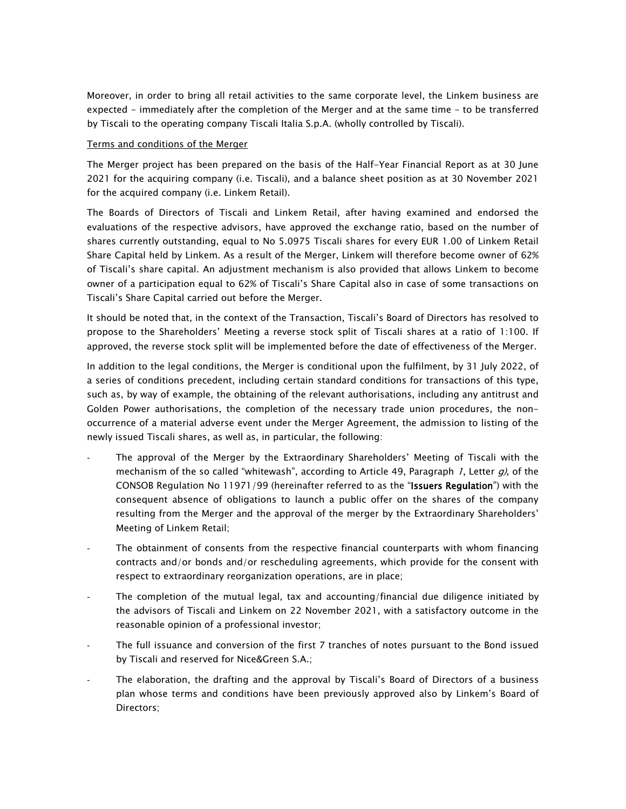Moreover, in order to bring all retail activities to the same corporate level, the Linkem business are expected - immediately after the completion of the Merger and at the same time - to be transferred by Tiscali to the operating company Tiscali Italia S.p.A. (wholly controlled by Tiscali).

#### Terms and conditions of the Merger

The Merger project has been prepared on the basis of the Half-Year Financial Report as at 30 June 2021 for the acquiring company (i.e. Tiscali), and a balance sheet position as at 30 November 2021 for the acquired company (i.e. Linkem Retail).

The Boards of Directors of Tiscali and Linkem Retail, after having examined and endorsed the evaluations of the respective advisors, have approved the exchange ratio, based on the number of shares currently outstanding, equal to No 5.0975 Tiscali shares for every EUR 1.00 of Linkem Retail Share Capital held by Linkem. As a result of the Merger, Linkem will therefore become owner of 62% of Tiscali's share capital. An adjustment mechanism is also provided that allows Linkem to become owner of a participation equal to 62% of Tiscali's Share Capital also in case of some transactions on Tiscali's Share Capital carried out before the Merger.

It should be noted that, in the context of the Transaction, Tiscali's Board of Directors has resolved to propose to the Shareholders' Meeting a reverse stock split of Tiscali shares at a ratio of 1:100. If approved, the reverse stock split will be implemented before the date of effectiveness of the Merger.

In addition to the legal conditions, the Merger is conditional upon the fulfilment, by 31 July 2022, of a series of conditions precedent, including certain standard conditions for transactions of this type, such as, by way of example, the obtaining of the relevant authorisations, including any antitrust and Golden Power authorisations, the completion of the necessary trade union procedures, the nonoccurrence of a material adverse event under the Merger Agreement, the admission to listing of the newly issued Tiscali shares, as well as, in particular, the following:

- The approval of the Merger by the Extraordinary Shareholders' Meeting of Tiscali with the mechanism of the so called "whitewash", according to Article 49, Paragraph 1, Letter  $q$ ), of the CONSOB Regulation No 11971/99 (hereinafter referred to as the "Issuers Regulation") with the consequent absence of obligations to launch a public offer on the shares of the company resulting from the Merger and the approval of the merger by the Extraordinary Shareholders' Meeting of Linkem Retail;
- The obtainment of consents from the respective financial counterparts with whom financing contracts and/or bonds and/or rescheduling agreements, which provide for the consent with respect to extraordinary reorganization operations, are in place;
- The completion of the mutual legal, tax and accounting/financial due diligence initiated by the advisors of Tiscali and Linkem on 22 November 2021, with a satisfactory outcome in the reasonable opinion of a professional investor;
- The full issuance and conversion of the first 7 tranches of notes pursuant to the Bond issued by Tiscali and reserved for Nice&Green S.A.;
- The elaboration, the drafting and the approval by Tiscali's Board of Directors of a business plan whose terms and conditions have been previously approved also by Linkem's Board of Directors;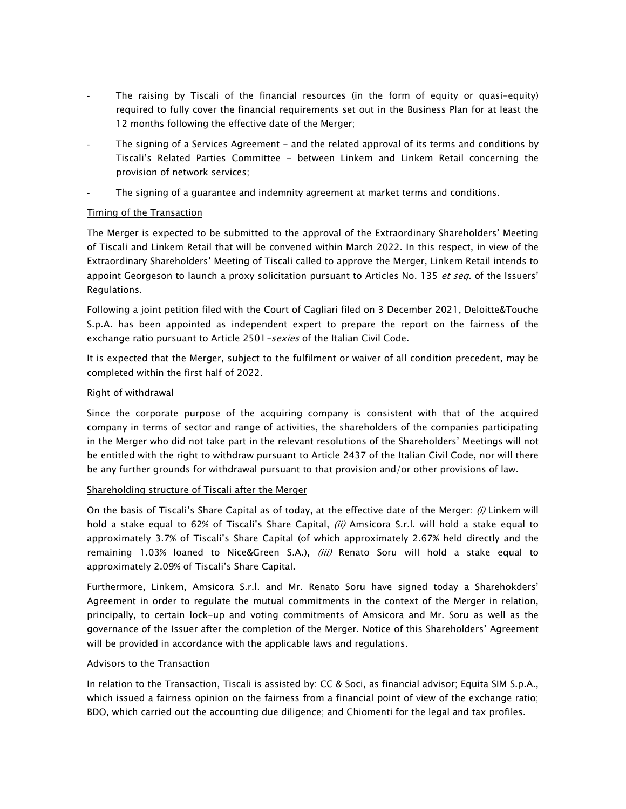- The raising by Tiscali of the financial resources (in the form of equity or quasi-equity) required to fully cover the financial requirements set out in the Business Plan for at least the 12 months following the effective date of the Merger;
- The signing of a Services Agreement and the related approval of its terms and conditions by Tiscali's Related Parties Committee - between Linkem and Linkem Retail concerning the provision of network services;
- The signing of a guarantee and indemnity agreement at market terms and conditions.

## Timing of the Transaction

The Merger is expected to be submitted to the approval of the Extraordinary Shareholders' Meeting of Tiscali and Linkem Retail that will be convened within March 2022. In this respect, in view of the Extraordinary Shareholders' Meeting of Tiscali called to approve the Merger, Linkem Retail intends to appoint Georgeson to launch a proxy solicitation pursuant to Articles No. 135 et seq. of the Issuers' Regulations.

Following a joint petition filed with the Court of Cagliari filed on 3 December 2021, Deloitte&Touche S.p.A. has been appointed as independent expert to prepare the report on the fairness of the exchange ratio pursuant to Article 2501 - sexies of the Italian Civil Code.

It is expected that the Merger, subject to the fulfilment or waiver of all condition precedent, may be completed within the first half of 2022.

## Right of withdrawal

Since the corporate purpose of the acquiring company is consistent with that of the acquired company in terms of sector and range of activities, the shareholders of the companies participating in the Merger who did not take part in the relevant resolutions of the Shareholders' Meetings will not be entitled with the right to withdraw pursuant to Article 2437 of the Italian Civil Code, nor will there be any further grounds for withdrawal pursuant to that provision and/or other provisions of law.

#### Shareholding structure of Tiscali after the Merger

On the basis of Tiscali's Share Capital as of today, at the effective date of the Merger: (i) Linkem will hold a stake equal to 62% of Tiscali's Share Capital, (ii) Amsicora S.r.l. will hold a stake equal to approximately 3.7% of Tiscali's Share Capital (of which approximately 2.67% held directly and the remaining 1.03% loaned to Nice&Green S.A.), (iii) Renato Soru will hold a stake equal to approximately 2.09% of Tiscali's Share Capital.

Furthermore, Linkem, Amsicora S.r.l. and Mr. Renato Soru have signed today a Sharehokders' Agreement in order to regulate the mutual commitments in the context of the Merger in relation, principally, to certain lock-up and voting commitments of Amsicora and Mr. Soru as well as the governance of the Issuer after the completion of the Merger. Notice of this Shareholders' Agreement will be provided in accordance with the applicable laws and regulations.

#### Advisors to the Transaction

In relation to the Transaction, Tiscali is assisted by: CC & Soci, as financial advisor; Equita SIM S.p.A., which issued a fairness opinion on the fairness from a financial point of view of the exchange ratio; BDO, which carried out the accounting due diligence; and Chiomenti for the legal and tax profiles.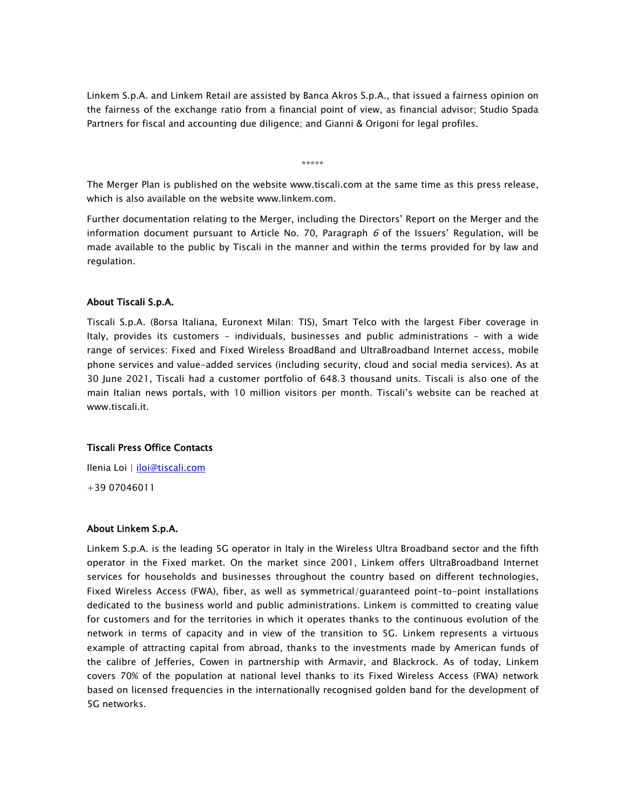Linkem S.p.A. and Linkem Retail are assisted by Banca Akros S.p.A., that issued a fairness opinion on the fairness of the exchange ratio from a financial point of view, as financial advisor; Studio Spada Partners for fiscal and accounting due diligence; and Gianni & Origoni for legal profiles.

\*\*\*\*\*

The Merger Plan is published on the website www.tiscali.com at the same time as this press release, which is also available on the website www.linkem.com.

Further documentation relating to the Merger, including the Directors' Report on the Merger and the information document pursuant to Article No. 70, Paragraph  $6$  of the Issuers' Regulation, will be made available to the public by Tiscali in the manner and within the terms provided for by law and regulation.

#### About Tiscali S.p.A.

Tiscali S.p.A. (Borsa Italiana, Euronext Milan: TIS), Smart Telco with the largest Fiber coverage in Italy, provides its customers - individuals, businesses and public administrations - with a wide range of services: Fixed and Fixed Wireless BroadBand and UltraBroadband Internet access, mobile phone services and value-added services (including security, cloud and social media services). As at 30 June 2021, Tiscali had a customer portfolio of 648.3 thousand units. Tiscali is also one of the main Italian news portals, with 10 million visitors per month. Tiscali's website can be reached at www.tiscali.it.

#### Tiscali Press Office Contacts

Ilenia Loi | [iloi@tiscali.com](mailto:iloi@tiscali.com) +39 07046011

#### About Linkem S.p.A.

Linkem S.p.A. is the leading 5G operator in Italy in the Wireless Ultra Broadband sector and the fifth operator in the Fixed market. On the market since 2001, Linkem offers UltraBroadband Internet services for households and businesses throughout the country based on different technologies, Fixed Wireless Access (FWA), fiber, as well as symmetrical/guaranteed point-to-point installations dedicated to the business world and public administrations. Linkem is committed to creating value for customers and for the territories in which it operates thanks to the continuous evolution of the network in terms of capacity and in view of the transition to 5G. Linkem represents a virtuous example of attracting capital from abroad, thanks to the investments made by American funds of the calibre of Jefferies, Cowen in partnership with Armavir, and Blackrock. As of today, Linkem covers 70% of the population at national level thanks to its Fixed Wireless Access (FWA) network based on licensed frequencies in the internationally recognised golden band for the development of 5G networks.